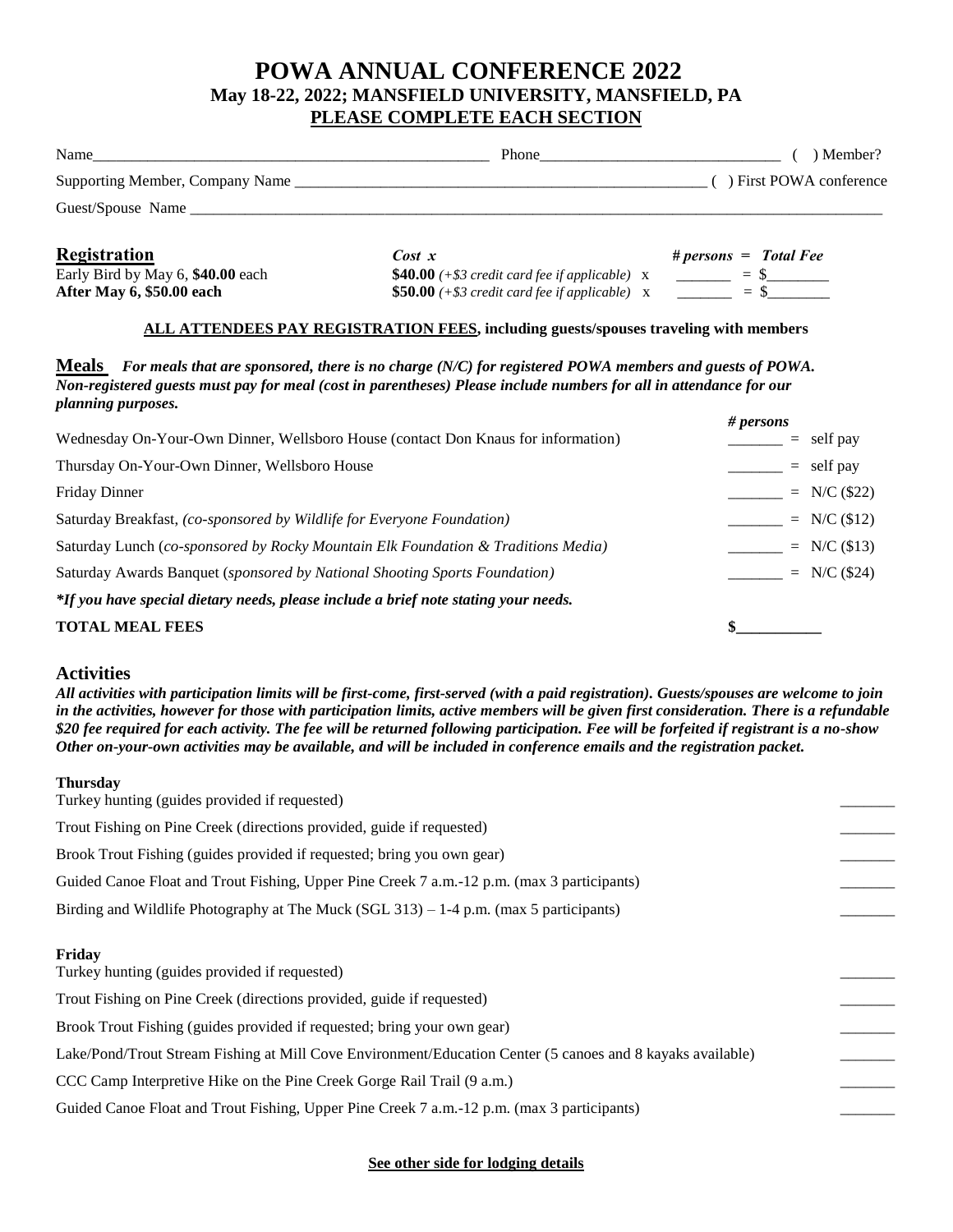# **POWA ANNUAL CONFERENCE 2022 May 18-22, 2022; MANSFIELD UNIVERSITY, MANSFIELD, PA PLEASE COMPLETE EACH SECTION**

| Name                            | Phone         | ) Member?                                       |
|---------------------------------|---------------|-------------------------------------------------|
| Supporting Member, Company Name |               | ) First POWA conference                         |
| Guest/Spouse Name               |               |                                                 |
| <b>Registration</b>             | $Cost \times$ | $# \text{ persons} = \text{Total} \text{ Free}$ |

Early Bird by May 6,  $$40.00$  each  $$40.00$  (+ $$3$  credit card fee if applicable)  $\bar{x}$   $\bar{z}$  = \$\_\_\_\_\_\_\_\_ **After May 6, \$50.00 each \$50.00** (+\$3 credit card fee if applicable) x \_\_\_\_\_\_\_ = \$\_\_\_\_\_\_\_

### **ALL ATTENDEES PAY REGISTRATION FEES, including guests/spouses traveling with members**

**Meals** *For meals that are sponsored, there is no charge (N/C) for registered POWA members and guests of POWA. Non-registered guests must pay for meal (cost in parentheses) Please include numbers for all in attendance for our planning purposes.*

|                                                                                     | # persons      |  |  |
|-------------------------------------------------------------------------------------|----------------|--|--|
| Wednesday On-Your-Own Dinner, Wellsboro House (contact Don Knaus for information)   | $=$ self pay   |  |  |
| Thursday On-Your-Own Dinner, Wellsboro House                                        | $=$ self pay   |  |  |
| <b>Friday Dinner</b>                                                                | $= N/C (\$22)$ |  |  |
| Saturday Breakfast, (co-sponsored by Wildlife for Everyone Foundation)              | $= N/C (12)$   |  |  |
| Saturday Lunch (co-sponsored by Rocky Mountain Elk Foundation & Traditions Media)   | $= N/C (13)$   |  |  |
| Saturday Awards Banquet (sponsored by National Shooting Sports Foundation)          | $= N/C (\$24)$ |  |  |
| *If you have special dietary needs, please include a brief note stating your needs. |                |  |  |
| <b>TOTAL MEAL FEES</b>                                                              |                |  |  |

## **Activities**

*All activities with participation limits will be first-come, first-served (with a paid registration). Guests/spouses are welcome to join in the activities, however for those with participation limits, active members will be given first consideration. There is a refundable \$20 fee required for each activity. The fee will be returned following participation. Fee will be forfeited if registrant is a no-show Other on-your-own activities may be available, and will be included in conference emails and the registration packet.*

#### **Thursday**

**See other side for lodging details**